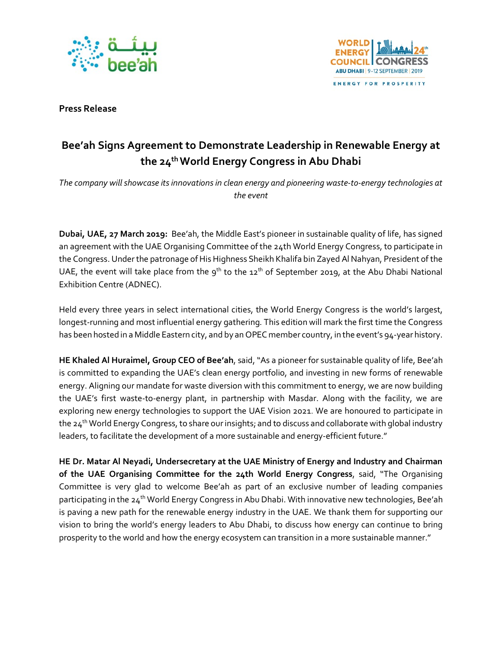



**Press Release**

# **Bee'ah Signs Agreement to Demonstrate Leadership in Renewable Energy at the 24th World Energy Congress in Abu Dhabi**

*The company will showcase its innovations in clean energy and pioneering waste-to-energy technologies at the event*

**Dubai, UAE, 27 March 2019:** Bee'ah, the Middle East's pioneer in sustainable quality of life, has signed an agreement with the UAE Organising Committee of the 24th World Energy Congress, to participate in the Congress. Under the patronage of His Highness Sheikh Khalifa bin Zayed Al Nahyan, President of the UAE, the event will take place from the  $9^{th}$  to the  $12^{th}$  of September 2019, at the Abu Dhabi National Exhibition Centre (ADNEC).

Held every three years in select international cities, the World Energy Congress is the world's largest, longest-running and most influential energy gathering. This edition will mark the first time the Congress has been hosted in a Middle Eastern city, and by an OPEC member country, in the event's 94-year history.

**HE Khaled Al Huraimel, Group CEO of Bee'ah**, said,"As a pioneer for sustainable quality of life, Bee'ah is committed to expanding the UAE's clean energy portfolio, and investing in new forms of renewable energy. Aligning our mandate for waste diversion with this commitment to energy, we are now building the UAE's first waste-to-energy plant, in partnership with Masdar. Along with the facility, we are exploring new energy technologies to support the UAE Vision 2021. We are honoured to participate in the 24<sup>th</sup> World Energy Congress, to share our insights; and to discuss and collaborate with global industry leaders, to facilitate the development of a more sustainable and energy-efficient future."

**HE Dr. Matar Al Neyadi, Undersecretary at the UAE Ministry of Energy and Industry and Chairman of the UAE Organising Committee for the 24th World Energy Congress**, said, "The Organising Committee is very glad to welcome Bee'ah as part of an exclusive number of leading companies participating in the 24<sup>th</sup> World Energy Congress in Abu Dhabi. With innovative new technologies, Bee'ah is paving a new path for the renewable energy industry in the UAE. We thank them for supporting our vision to bring the world's energy leaders to Abu Dhabi, to discuss how energy can continue to bring prosperity to the world and how the energy ecosystem can transition in a more sustainable manner."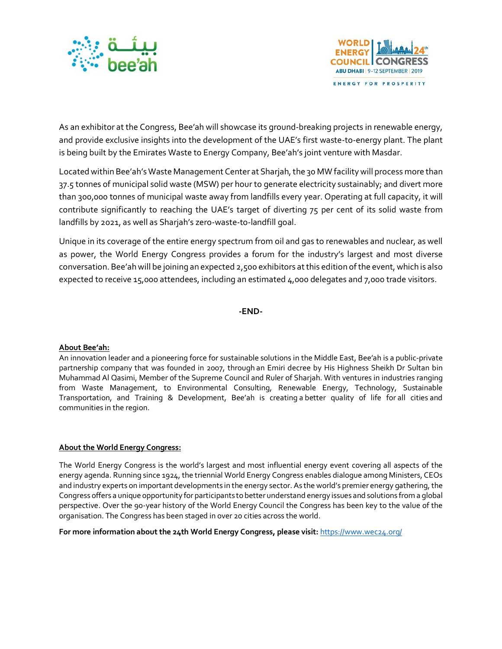



As an exhibitor at the Congress, Bee'ah will showcase its ground-breaking projects in renewable energy, and provide exclusive insights into the development of the UAE's first waste-to-energy plant. The plant is being built by the Emirates Waste to Energy Company, Bee'ah's joint venture with Masdar.

Located within Bee'ah's Waste Management Center at Sharjah, the 30 MW facility will process more than 37.5 tonnes of municipal solid waste (MSW) per hour to generate electricity sustainably; and divert more than 300,000 tonnes of municipal waste away from landfills every year. Operating at full capacity, it will contribute significantly to reaching the UAE's target of diverting 75 per cent of its solid waste from landfills by 2021, as well as Sharjah's zero-waste-to-landfill goal.

Unique in its coverage of the entire energy spectrum from oil and gas to renewables and nuclear, as well as power, the World Energy Congress provides a forum for the industry's largest and most diverse conversation. Bee'ah will be joining an expected 2,500 exhibitors at this edition of the event, which is also expected to receive 15,000 attendees, including an estimated 4,000 delegates and 7,000 trade visitors.

# **-END-**

# **About Bee'ah:**

An innovation leader and a pioneering force for sustainable solutions in the Middle East, Bee'ah is a public-private partnership company that was founded in 2007, through an Emiri decree by His Highness Sheikh Dr Sultan bin Muhammad Al Qasimi, Member of the Supreme Council and Ruler of Sharjah. With ventures in industries ranging from Waste Management, to Environmental Consulting, Renewable Energy, Technology, Sustainable Transportation, and Training & Development, Bee'ah is creating a better quality of life for all cities and communities in the region.

#### **About the World Energy Congress:**

The World Energy Congress is the world's largest and most influential energy event covering all aspects of the energy agenda. Running since 1924, the triennial World Energy Congress enables dialogue among Ministers, CEOs and industry experts on important developments in the energy sector. As the world's premier energy gathering, the Congress offers a unique opportunity for participants to better understand energy issues and solutions from a global perspective. Over the 90-year history of the World Energy Council the Congress has been key to the value of the organisation. The Congress has been staged in over 20 cities across the world.

### **For more information about the 24th World Energy Congress, please visit:** <https://www.wec24.org/>